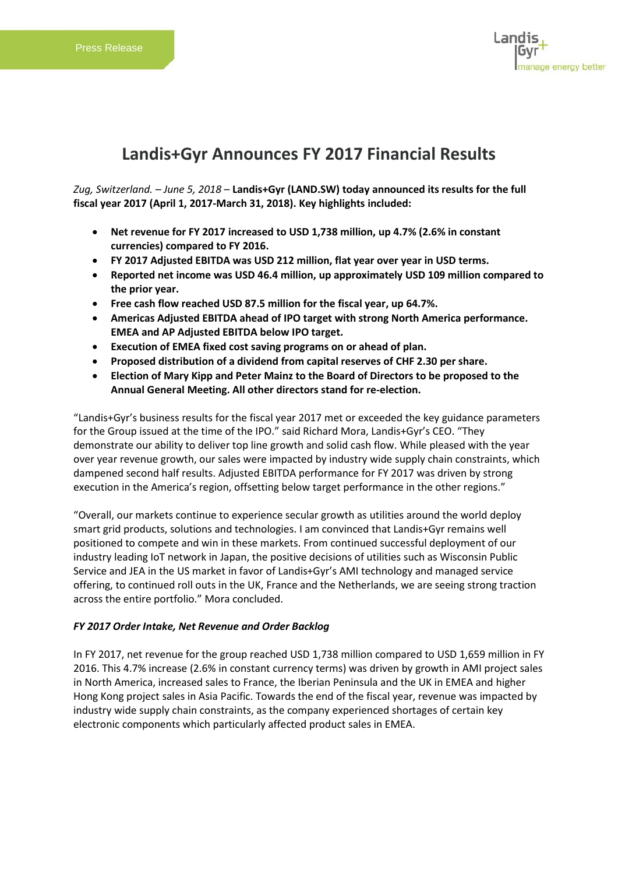

# **Landis+Gyr Announces FY 2017 Financial Results**

*Zug, Switzerland. – June 5, 2018* – **Landis+Gyr (LAND.SW) today announced its results for the full fiscal year 2017 (April 1, 2017-March 31, 2018). Key highlights included:**

- **Net revenue for FY 2017 increased to USD 1,738 million, up 4.7% (2.6% in constant currencies) compared to FY 2016.**
- **FY 2017 Adjusted EBITDA was USD 212 million, flat year over year in USD terms.**
- **Reported net income was USD 46.4 million, up approximately USD 109 million compared to the prior year.**
- **Free cash flow reached USD 87.5 million for the fiscal year, up 64.7%.**
- **Americas Adjusted EBITDA ahead of IPO target with strong North America performance. EMEA and AP Adjusted EBITDA below IPO target.**
- **Execution of EMEA fixed cost saving programs on or ahead of plan.**
- **Proposed distribution of a dividend from capital reserves of CHF 2.30 per share.**
- **Election of Mary Kipp and Peter Mainz to the Board of Directors to be proposed to the Annual General Meeting. All other directors stand for re-election.**

"Landis+Gyr's business results for the fiscal year 2017 met or exceeded the key guidance parameters for the Group issued at the time of the IPO." said Richard Mora, Landis+Gyr's CEO. "They demonstrate our ability to deliver top line growth and solid cash flow. While pleased with the year over year revenue growth, our sales were impacted by industry wide supply chain constraints, which dampened second half results. Adjusted EBITDA performance for FY 2017 was driven by strong execution in the America's region, offsetting below target performance in the other regions."

"Overall, our markets continue to experience secular growth as utilities around the world deploy smart grid products, solutions and technologies. I am convinced that Landis+Gyr remains well positioned to compete and win in these markets. From continued successful deployment of our industry leading IoT network in Japan, the positive decisions of utilities such as Wisconsin Public Service and JEA in the US market in favor of Landis+Gyr's AMI technology and managed service offering, to continued roll outs in the UK, France and the Netherlands, we are seeing strong traction across the entire portfolio." Mora concluded.

# *FY 2017 Order Intake, Net Revenue and Order Backlog*

In FY 2017, net revenue for the group reached USD 1,738 million compared to USD 1,659 million in FY 2016. This 4.7% increase (2.6% in constant currency terms) was driven by growth in AMI project sales in North America, increased sales to France, the Iberian Peninsula and the UK in EMEA and higher Hong Kong project sales in Asia Pacific. Towards the end of the fiscal year, revenue was impacted by industry wide supply chain constraints, as the company experienced shortages of certain key electronic components which particularly affected product sales in EMEA.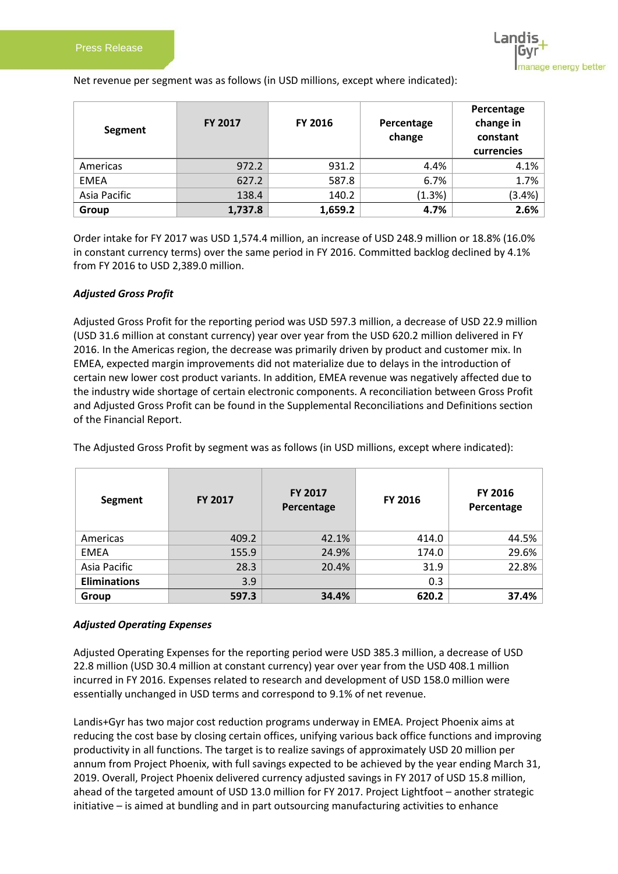

Net revenue per segment was as follows (in USD millions, except where indicated):

| Segment      | <b>FY 2017</b> | <b>FY 2016</b> | Percentage<br>change | Percentage<br>change in<br>constant<br>currencies |
|--------------|----------------|----------------|----------------------|---------------------------------------------------|
| Americas     | 972.2          | 931.2          | 4.4%                 | 4.1%                                              |
| <b>EMEA</b>  | 627.2          | 587.8          | 6.7%                 | 1.7%                                              |
| Asia Pacific | 138.4          | 140.2          | (1.3%)               | (3.4%)                                            |
| Group        | 1,737.8        | 1,659.2        | 4.7%                 | 2.6%                                              |

Order intake for FY 2017 was USD 1,574.4 million, an increase of USD 248.9 million or 18.8% (16.0% in constant currency terms) over the same period in FY 2016. Committed backlog declined by 4.1% from FY 2016 to USD 2,389.0 million.

#### *Adjusted Gross Profit*

Adjusted Gross Profit for the reporting period was USD 597.3 million, a decrease of USD 22.9 million (USD 31.6 million at constant currency) year over year from the USD 620.2 million delivered in FY 2016. In the Americas region, the decrease was primarily driven by product and customer mix. In EMEA, expected margin improvements did not materialize due to delays in the introduction of certain new lower cost product variants. In addition, EMEA revenue was negatively affected due to the industry wide shortage of certain electronic components. A reconciliation between Gross Profit and Adjusted Gross Profit can be found in the Supplemental Reconciliations and Definitions section of the Financial Report.

| Segment             | <b>FY 2017</b> | <b>FY 2017</b><br>Percentage | FY 2016 | FY 2016<br>Percentage |
|---------------------|----------------|------------------------------|---------|-----------------------|
| Americas            | 409.2          | 42.1%                        | 414.0   | 44.5%                 |
| <b>EMEA</b>         | 155.9          | 24.9%                        | 174.0   | 29.6%                 |
| Asia Pacific        | 28.3           | 20.4%                        | 31.9    | 22.8%                 |
| <b>Eliminations</b> | 3.9            |                              | 0.3     |                       |
| Group               | 597.3          | 34.4%                        | 620.2   | 37.4%                 |

The Adjusted Gross Profit by segment was as follows (in USD millions, except where indicated):

#### *Adjusted Operating Expenses*

Adjusted Operating Expenses for the reporting period were USD 385.3 million, a decrease of USD 22.8 million (USD 30.4 million at constant currency) year over year from the USD 408.1 million incurred in FY 2016. Expenses related to research and development of USD 158.0 million were essentially unchanged in USD terms and correspond to 9.1% of net revenue.

Landis+Gyr has two major cost reduction programs underway in EMEA. Project Phoenix aims at reducing the cost base by closing certain offices, unifying various back office functions and improving productivity in all functions. The target is to realize savings of approximately USD 20 million per annum from Project Phoenix, with full savings expected to be achieved by the year ending March 31, 2019. Overall, Project Phoenix delivered currency adjusted savings in FY 2017 of USD 15.8 million, ahead of the targeted amount of USD 13.0 million for FY 2017. Project Lightfoot – another strategic initiative – is aimed at bundling and in part outsourcing manufacturing activities to enhance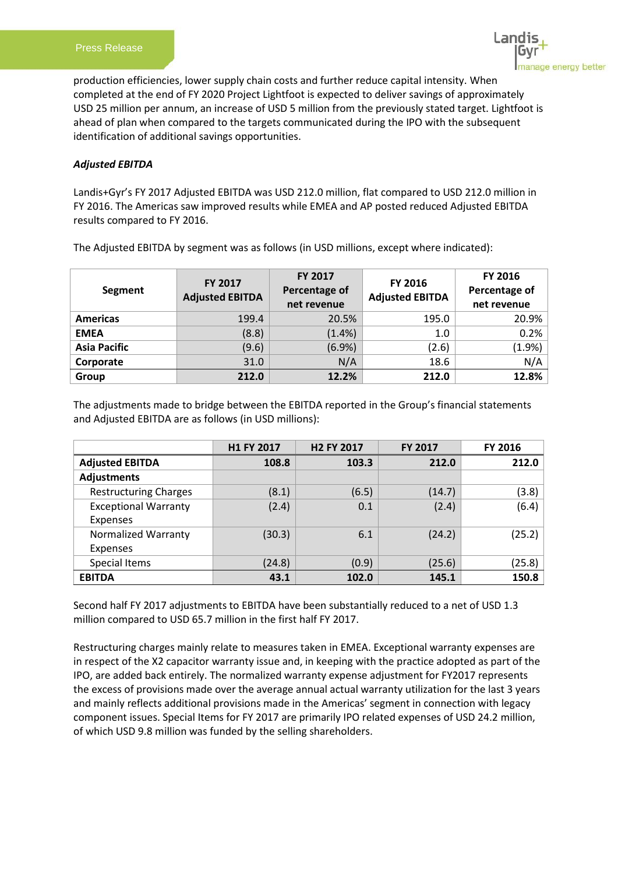

production efficiencies, lower supply chain costs and further reduce capital intensity. When completed at the end of FY 2020 Project Lightfoot is expected to deliver savings of approximately USD 25 million per annum, an increase of USD 5 million from the previously stated target. Lightfoot is ahead of plan when compared to the targets communicated during the IPO with the subsequent identification of additional savings opportunities.

## *Adjusted EBITDA*

Landis+Gyr's FY 2017 Adjusted EBITDA was USD 212.0 million, flat compared to USD 212.0 million in FY 2016. The Americas saw improved results while EMEA and AP posted reduced Adjusted EBITDA results compared to FY 2016.

| Segment             | FY 2017<br><b>Adjusted EBITDA</b> | FY 2017<br>Percentage of<br>net revenue | FY 2016<br><b>Adjusted EBITDA</b> | <b>FY 2016</b><br>Percentage of<br>net revenue |
|---------------------|-----------------------------------|-----------------------------------------|-----------------------------------|------------------------------------------------|
| <b>Americas</b>     | 199.4                             | 20.5%                                   | 195.0                             | 20.9%                                          |
| <b>EMEA</b>         | (8.8)                             | (1.4% )                                 | 1.0                               | 0.2%                                           |
| <b>Asia Pacific</b> | (9.6)                             | (6.9%)                                  | (2.6)                             | (1.9%)                                         |
| Corporate           | 31.0                              | N/A                                     | 18.6                              | N/A                                            |
| Group               | 212.0                             | 12.2%                                   | 212.0                             | 12.8%                                          |

The Adjusted EBITDA by segment was as follows (in USD millions, except where indicated):

The adjustments made to bridge between the EBITDA reported in the Group's financial statements and Adjusted EBITDA are as follows (in USD millions):

|                              | H1 FY 2017 | <b>H2 FY 2017</b> | <b>FY 2017</b> | FY 2016 |
|------------------------------|------------|-------------------|----------------|---------|
| <b>Adjusted EBITDA</b>       | 108.8      | 103.3             | 212.0          | 212.0   |
| <b>Adjustments</b>           |            |                   |                |         |
| <b>Restructuring Charges</b> | (8.1)      | (6.5)             | (14.7)         | (3.8)   |
| <b>Exceptional Warranty</b>  | (2.4)      | 0.1               | (2.4)          | (6.4)   |
| Expenses                     |            |                   |                |         |
| <b>Normalized Warranty</b>   | (30.3)     | 6.1               | (24.2)         | (25.2)  |
| <b>Expenses</b>              |            |                   |                |         |
| Special Items                | (24.8)     | (0.9)             | (25.6)         | (25.8)  |
| <b>EBITDA</b>                | 43.1       | 102.0             | 145.1          | 150.8   |

Second half FY 2017 adjustments to EBITDA have been substantially reduced to a net of USD 1.3 million compared to USD 65.7 million in the first half FY 2017.

Restructuring charges mainly relate to measures taken in EMEA. Exceptional warranty expenses are in respect of the X2 capacitor warranty issue and, in keeping with the practice adopted as part of the IPO, are added back entirely. The normalized warranty expense adjustment for FY2017 represents the excess of provisions made over the average annual actual warranty utilization for the last 3 years and mainly reflects additional provisions made in the Americas' segment in connection with legacy component issues. Special Items for FY 2017 are primarily IPO related expenses of USD 24.2 million, of which USD 9.8 million was funded by the selling shareholders.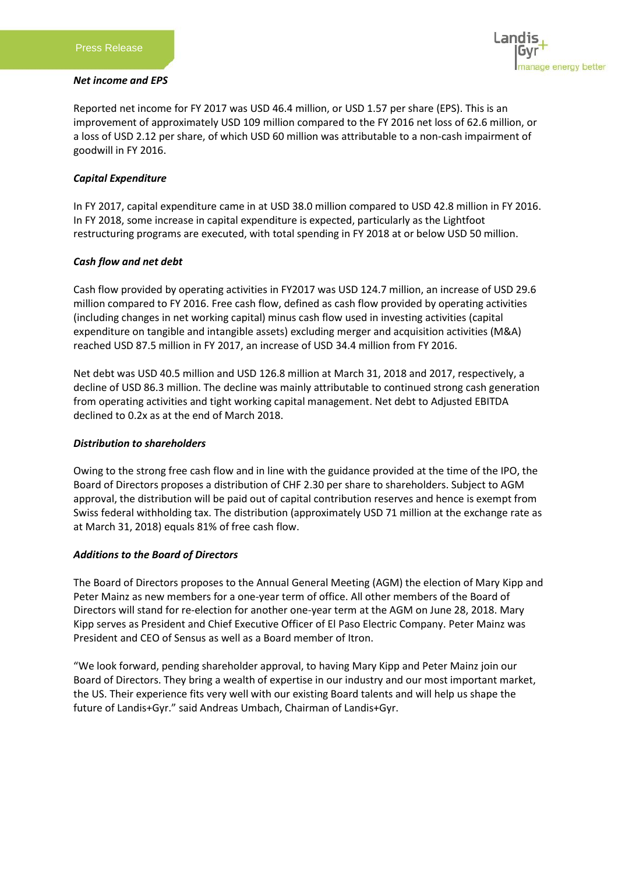#### *Net income and EPS*



Reported net income for FY 2017 was USD 46.4 million, or USD 1.57 per share (EPS). This is an improvement of approximately USD 109 million compared to the FY 2016 net loss of 62.6 million, or a loss of USD 2.12 per share, of which USD 60 million was attributable to a non-cash impairment of goodwill in FY 2016.

## *Capital Expenditure*

In FY 2017, capital expenditure came in at USD 38.0 million compared to USD 42.8 million in FY 2016. In FY 2018, some increase in capital expenditure is expected, particularly as the Lightfoot restructuring programs are executed, with total spending in FY 2018 at or below USD 50 million.

## *Cash flow and net debt*

Cash flow provided by operating activities in FY2017 was USD 124.7 million, an increase of USD 29.6 million compared to FY 2016. Free cash flow, defined as cash flow provided by operating activities (including changes in net working capital) minus cash flow used in investing activities (capital expenditure on tangible and intangible assets) excluding merger and acquisition activities (M&A) reached USD 87.5 million in FY 2017, an increase of USD 34.4 million from FY 2016.

Net debt was USD 40.5 million and USD 126.8 million at March 31, 2018 and 2017, respectively, a decline of USD 86.3 million. The decline was mainly attributable to continued strong cash generation from operating activities and tight working capital management. Net debt to Adjusted EBITDA declined to 0.2x as at the end of March 2018.

#### *Distribution to shareholders*

Owing to the strong free cash flow and in line with the guidance provided at the time of the IPO, the Board of Directors proposes a distribution of CHF 2.30 per share to shareholders. Subject to AGM approval, the distribution will be paid out of capital contribution reserves and hence is exempt from Swiss federal withholding tax. The distribution (approximately USD 71 million at the exchange rate as at March 31, 2018) equals 81% of free cash flow.

#### *Additions to the Board of Directors*

The Board of Directors proposes to the Annual General Meeting (AGM) the election of Mary Kipp and Peter Mainz as new members for a one-year term of office. All other members of the Board of Directors will stand for re-election for another one-year term at the AGM on June 28, 2018. Mary Kipp serves as President and Chief Executive Officer of El Paso Electric Company. Peter Mainz was President and CEO of Sensus as well as a Board member of Itron.

"We look forward, pending shareholder approval, to having Mary Kipp and Peter Mainz join our Board of Directors. They bring a wealth of expertise in our industry and our most important market, the US. Their experience fits very well with our existing Board talents and will help us shape the future of Landis+Gyr." said Andreas Umbach, Chairman of Landis+Gyr.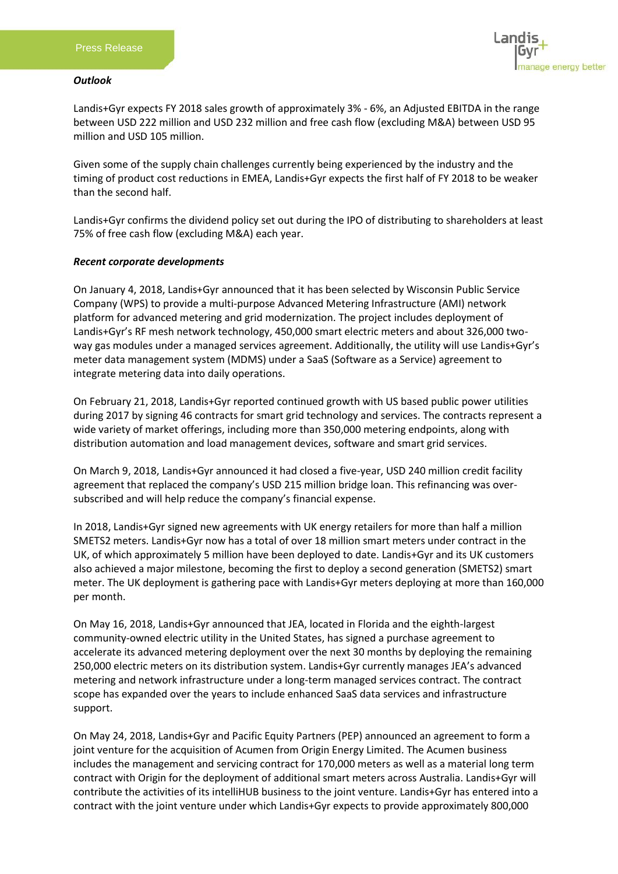#### *Outlook*

ige energy better

Landis+Gyr expects FY 2018 sales growth of approximately 3% - 6%, an Adjusted EBITDA in the range between USD 222 million and USD 232 million and free cash flow (excluding M&A) between USD 95 million and USD 105 million.

Given some of the supply chain challenges currently being experienced by the industry and the timing of product cost reductions in EMEA, Landis+Gyr expects the first half of FY 2018 to be weaker than the second half.

Landis+Gyr confirms the dividend policy set out during the IPO of distributing to shareholders at least 75% of free cash flow (excluding M&A) each year.

## *Recent corporate developments*

On January 4, 2018, Landis+Gyr announced that it has been selected by Wisconsin Public Service Company (WPS) to provide a multi-purpose Advanced Metering Infrastructure (AMI) network platform for advanced metering and grid modernization. The project includes deployment of Landis+Gyr's RF mesh network technology, 450,000 smart electric meters and about 326,000 twoway gas modules under a managed services agreement. Additionally, the utility will use Landis+Gyr's meter data management system (MDMS) under a SaaS (Software as a Service) agreement to integrate metering data into daily operations.

On February 21, 2018, Landis+Gyr reported continued growth with US based public power utilities during 2017 by signing 46 contracts for smart grid technology and services. The contracts represent a wide variety of market offerings, including more than 350,000 metering endpoints, along with distribution automation and load management devices, software and smart grid services.

On March 9, 2018, Landis+Gyr announced it had closed a five-year, USD 240 million credit facility agreement that replaced the company's USD 215 million bridge loan. This refinancing was oversubscribed and will help reduce the company's financial expense.

In 2018, Landis+Gyr signed new agreements with UK energy retailers for more than half a million SMETS2 meters. Landis+Gyr now has a total of over 18 million smart meters under contract in the UK, of which approximately 5 million have been deployed to date. Landis+Gyr and its UK customers also achieved a major milestone, becoming the first to deploy a second generation (SMETS2) smart meter. The UK deployment is gathering pace with Landis+Gyr meters deploying at more than 160,000 per month.

On May 16, 2018, Landis+Gyr announced that JEA, located in Florida and the eighth-largest community-owned electric utility in the United States, has signed a purchase agreement to accelerate its advanced metering deployment over the next 30 months by deploying the remaining 250,000 electric meters on its distribution system. Landis+Gyr currently manages JEA's advanced metering and network infrastructure under a long-term managed services contract. The contract scope has expanded over the years to include enhanced SaaS data services and infrastructure support.

On May 24, 2018, Landis+Gyr and Pacific Equity Partners (PEP) announced an agreement to form a joint venture for the acquisition of Acumen from Origin Energy Limited. The Acumen business includes the management and servicing contract for 170,000 meters as well as a material long term contract with Origin for the deployment of additional smart meters across Australia. Landis+Gyr will contribute the activities of its intelliHUB business to the joint venture. Landis+Gyr has entered into a contract with the joint venture under which Landis+Gyr expects to provide approximately 800,000